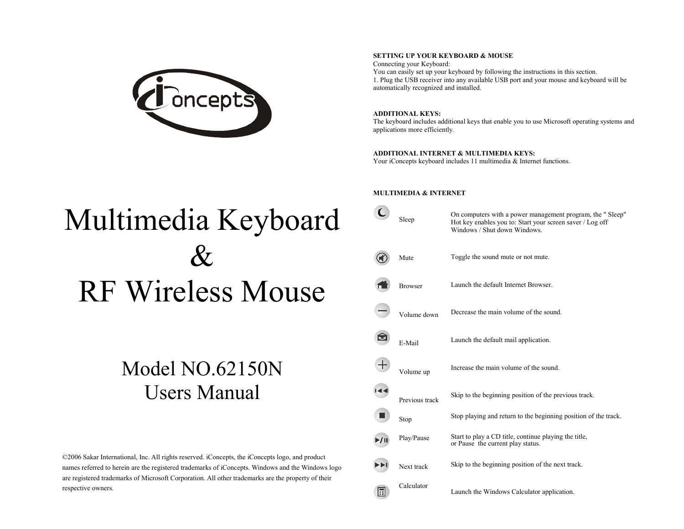

#### **SETTING UP YOUR KEYBOARD & MOUSE**

Connecting your Keyboard: You can easily set up your keyboard by following the instructions in this section. 1. Plug the USB receiver into any available USB port and your mouse and keyboard will be automatically recognized and installed.

# **ADDITIONAL KEYS:**

The keyboard includes additional keys that enable you to use Microsoft operating systems and applications more efficiently.

## **ADDITIONAL INTERNET & MULTIMEDIA KEYS:**

Your iConcepts keyboard includes 11 multimedia & Internet functions.

# Multimedia Keyboard  $\&$ RF Wireless Mouse

# Model NO.62150N Users Manual

©2006 Sakar International, Inc. All rights reserved. iConcepts, the iConcepts logo, and product names referred to herein are the registered trademarks of iConcepts. Windows and the Windows logo are registered trademarks of Microsoft Corporation. All other trademarks are the property of their respective owners.

#### **MULTIMEDIA & INTERNET**

|   | Sleep          | On computers with a power management program, the "Sleep"<br>Hot key enables you to: Start your screen saver / Log off<br>Windows / Shut down Windows. |
|---|----------------|--------------------------------------------------------------------------------------------------------------------------------------------------------|
|   | Mute           | Toggle the sound mute or not mute.                                                                                                                     |
|   | <b>Browser</b> | Launch the default Internet Browser.                                                                                                                   |
|   | Volume down    | Decrease the main volume of the sound.                                                                                                                 |
|   | E-Mail         | Launch the default mail application.                                                                                                                   |
|   | Volume up      | Increase the main volume of the sound.                                                                                                                 |
|   | Previous track | Skip to the beginning position of the previous track.                                                                                                  |
|   | Stop           | Stop playing and return to the beginning position of the track.                                                                                        |
|   | Play/Pause     | Start to play a CD title, continue playing the title,<br>or Pause the current play status.                                                             |
|   | Next track     | Skip to the beginning position of the next track.                                                                                                      |
| 国 | Calculator     | Launch the Windows Calculator application.                                                                                                             |